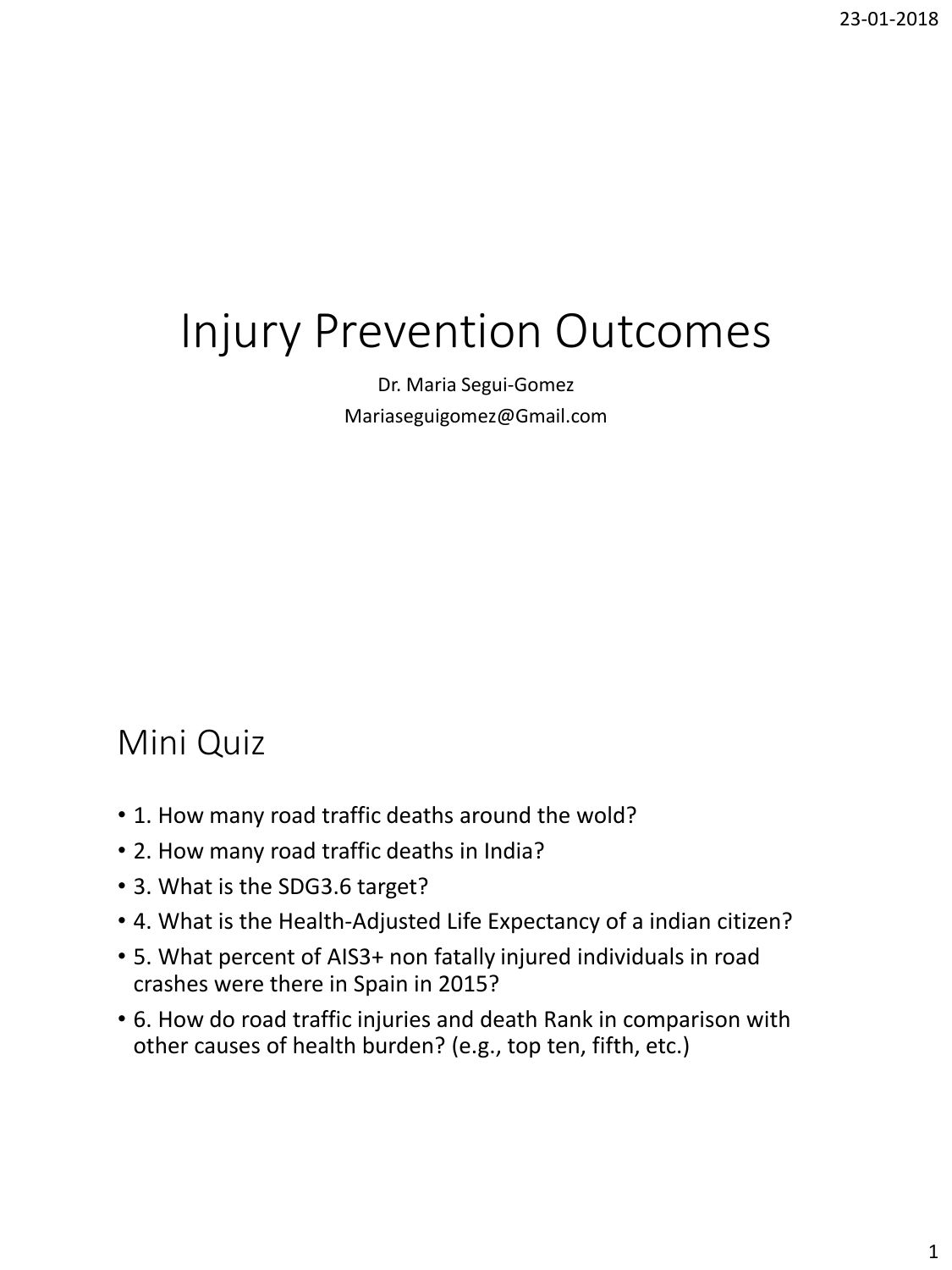# Injury Prevention Outcomes

Dr. Maria Segui-Gomez Mariaseguigomez@Gmail.com

## Mini Quiz

- 1. How many road traffic deaths around the wold?
- 2. How many road traffic deaths in India?
- 3. What is the SDG3.6 target?
- 4. What is the Health-Adjusted Life Expectancy of a indian citizen?
- 5. What percent of AIS3+ non fatally injured individuals in road crashes were there in Spain in 2015?
- 6. How do road traffic injuries and death Rank in comparison with other causes of health burden? (e.g., top ten, fifth, etc.)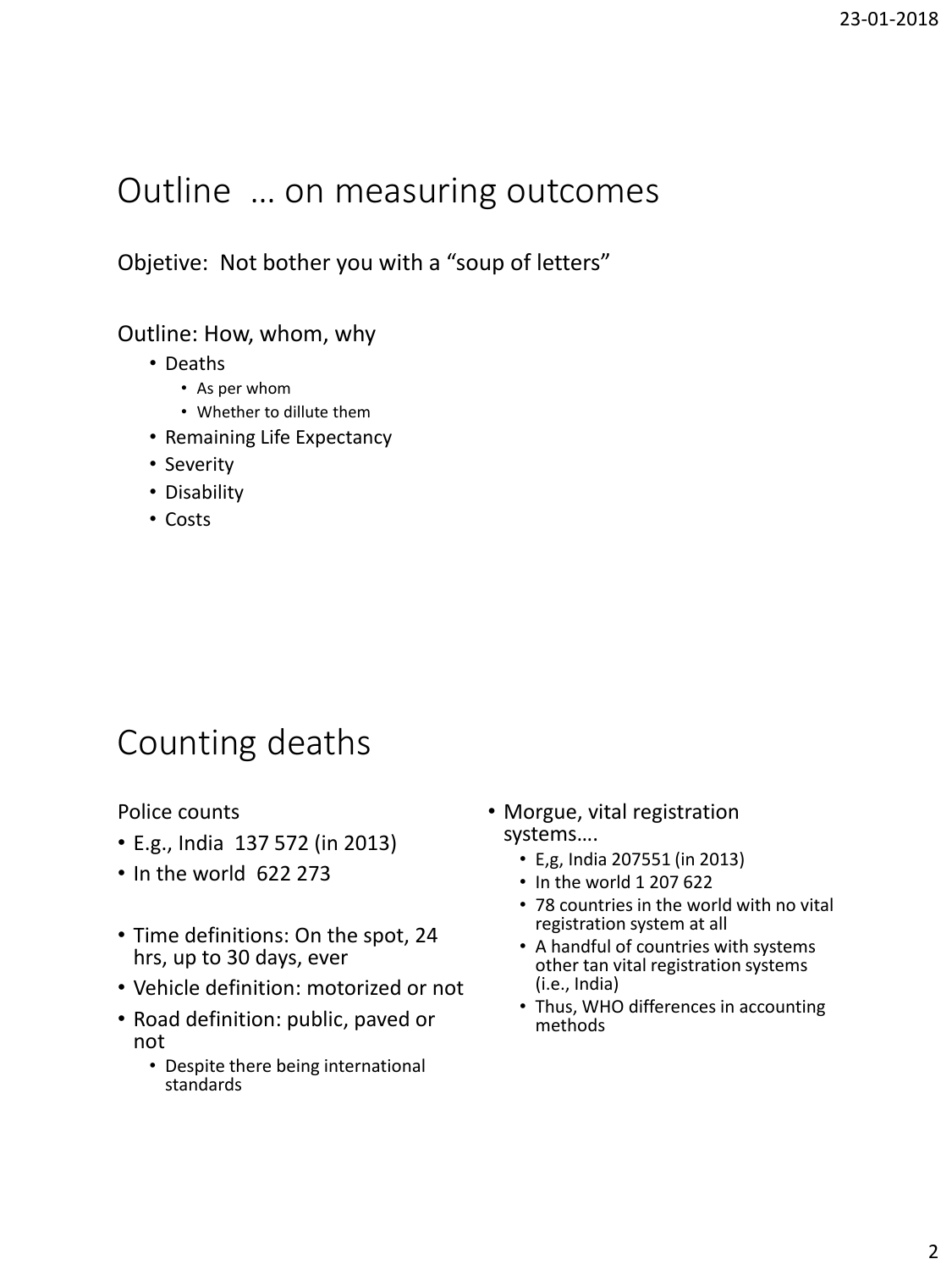### Outline … on measuring outcomes

Objetive: Not bother you with a "soup of letters"

#### Outline: How, whom, why

- Deaths
	- As per whom
	- Whether to dillute them
- Remaining Life Expectancy
- Severity
- Disability
- Costs

### Counting deaths

Police counts

- E.g., India 137 572 (in 2013)
- In the world 622 273
- Time definitions: On the spot, 24 hrs, up to 30 days, ever
- Vehicle definition: motorized or not
- Road definition: public, paved or not
	- Despite there being international standards
- Morgue, vital registration systems….
	- E,g, India 207551 (in 2013)
	- In the world 1 207 622
	- 78 countries in the world with no vital registration system at all
	- A handful of countries with systems other tan vital registration systems (i.e., India)
	- Thus, WHO differences in accounting methods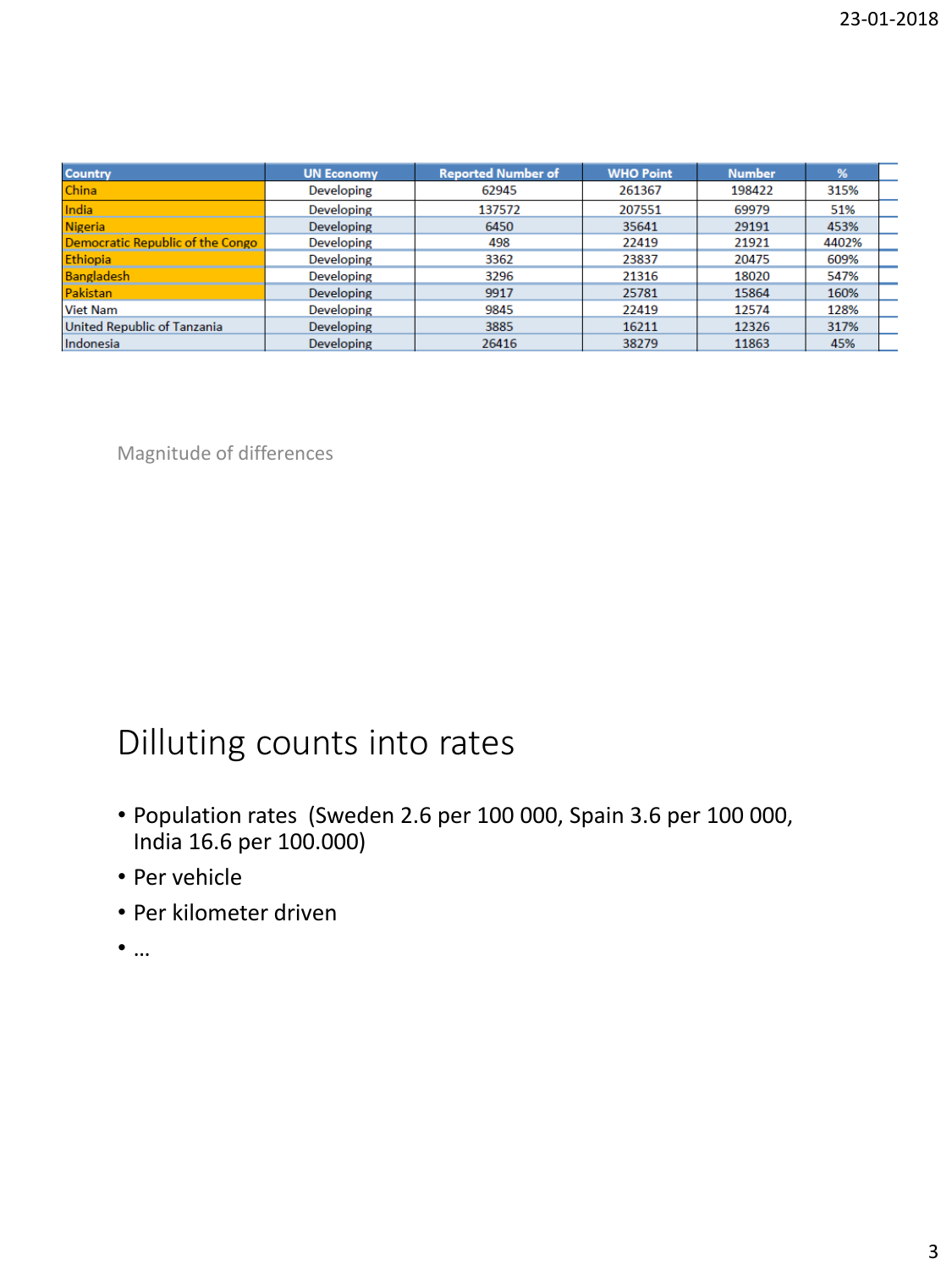| <b>Country</b>                   | <b>UN Economy</b> | <b>Reported Number of</b> | <b>WHO Point</b> | <b>Number</b> | %     |  |
|----------------------------------|-------------------|---------------------------|------------------|---------------|-------|--|
| China                            | <b>Developing</b> | 62945                     | 261367           | 198422        | 315%  |  |
| India                            | Developing        | 137572                    | 207551           | 69979         | 51%   |  |
| <b>Nigeria</b>                   | <b>Developing</b> | 6450                      | 35641            | 29191         | 453%  |  |
| Democratic Republic of the Congo | Developing        | 498                       | 22419            | 21921         | 4402% |  |
| Ethiopia                         | <b>Developing</b> | 3362                      | 23837            | 20475         | 609%  |  |
| Bangladesh                       | Developing        | 3296                      | 21316            | 18020         | 547%  |  |
| Pakistan                         | <b>Developing</b> | 9917                      | 25781            | 15864         | 160%  |  |
| <b>Viet Nam</b>                  | <b>Developing</b> | 9845                      | 22419            | 12574         | 128%  |  |
| United Republic of Tanzania      | <b>Developing</b> | 3885                      | 16211            | 12326         | 317%  |  |
| Indonesia                        | <b>Developing</b> | 26416                     | 38279            | 11863         | 45%   |  |

Magnitude of differences

# Dilluting counts into rates

- Population rates (Sweden 2.6 per 100 000, Spain 3.6 per 100 000, India 16.6 per 100.000)
- Per vehicle
- Per kilometer driven
- …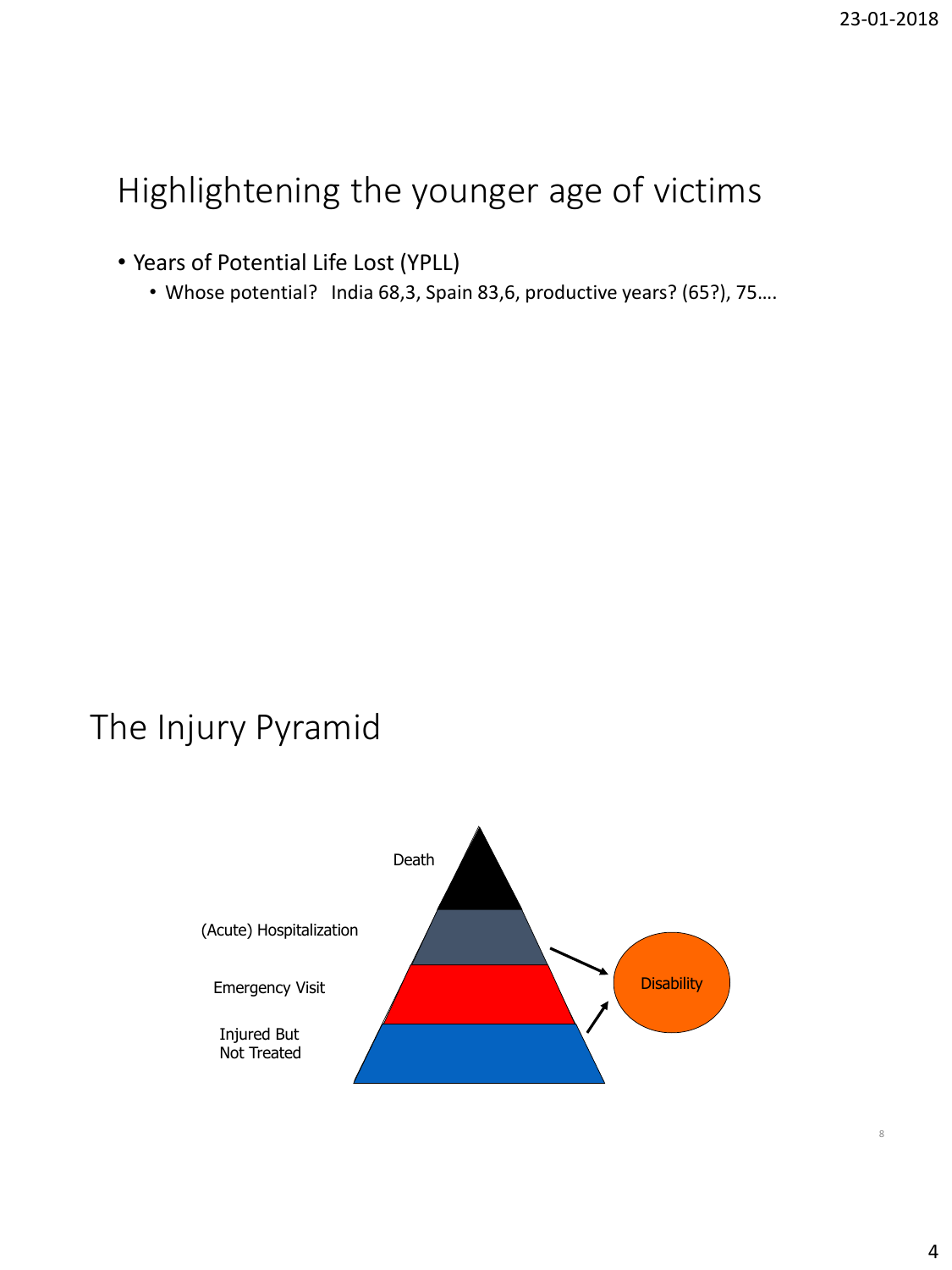# Highlightening the younger age of victims

• Years of Potential Life Lost (YPLL)

• Whose potential? India 68,3, Spain 83,6, productive years? (65?), 75….

## The Injury Pyramid



8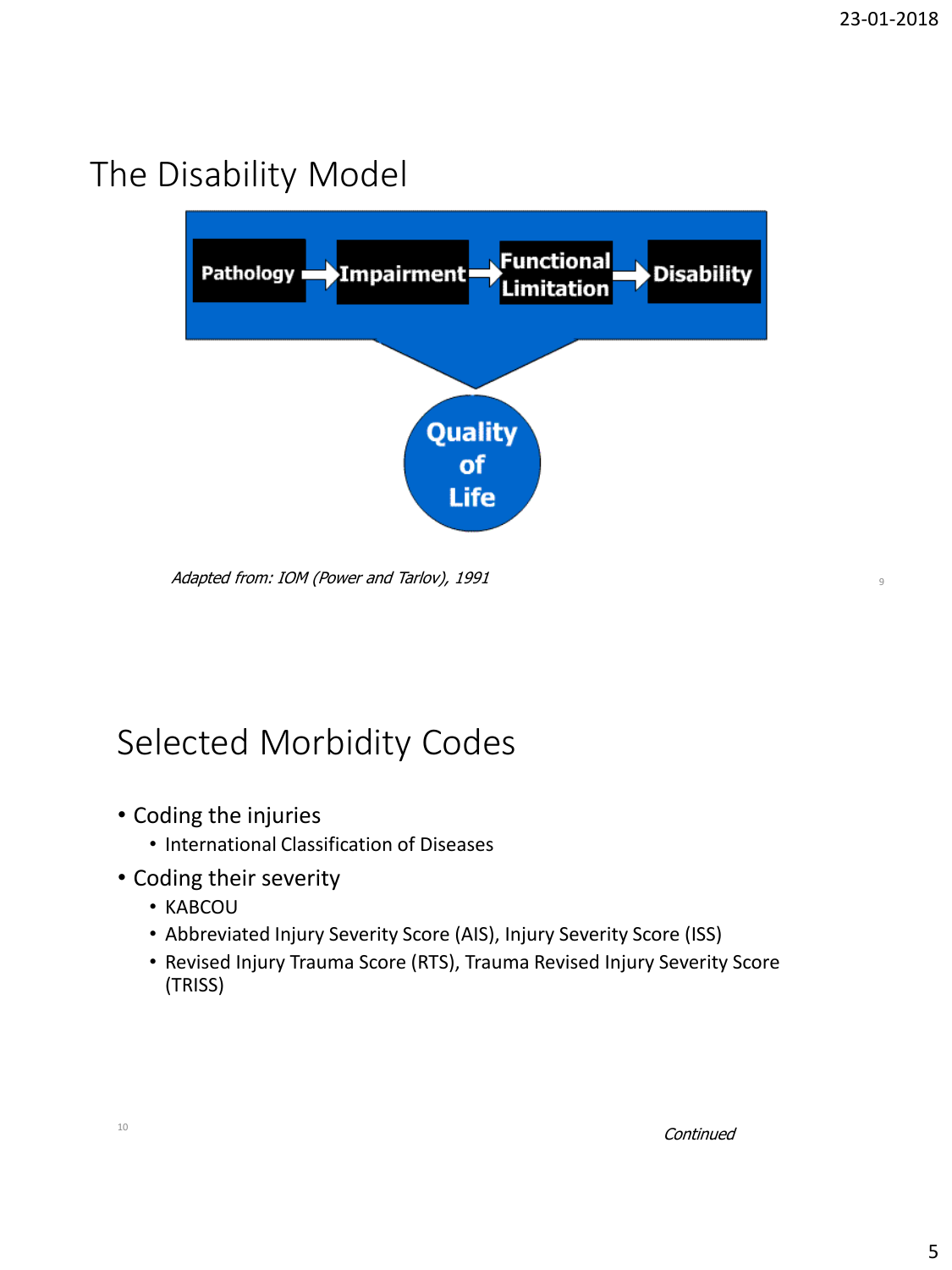## The Disability Model



Adapted from: IOM (Power and Tarlov), 1991 <sup>9</sup>

# Selected Morbidity Codes

- Coding the injuries
	- International Classification of Diseases
- Coding their severity
	- KABCOU
	- Abbreviated Injury Severity Score (AIS), Injury Severity Score (ISS)
	- Revised Injury Trauma Score (RTS), Trauma Revised Injury Severity Score (TRISS)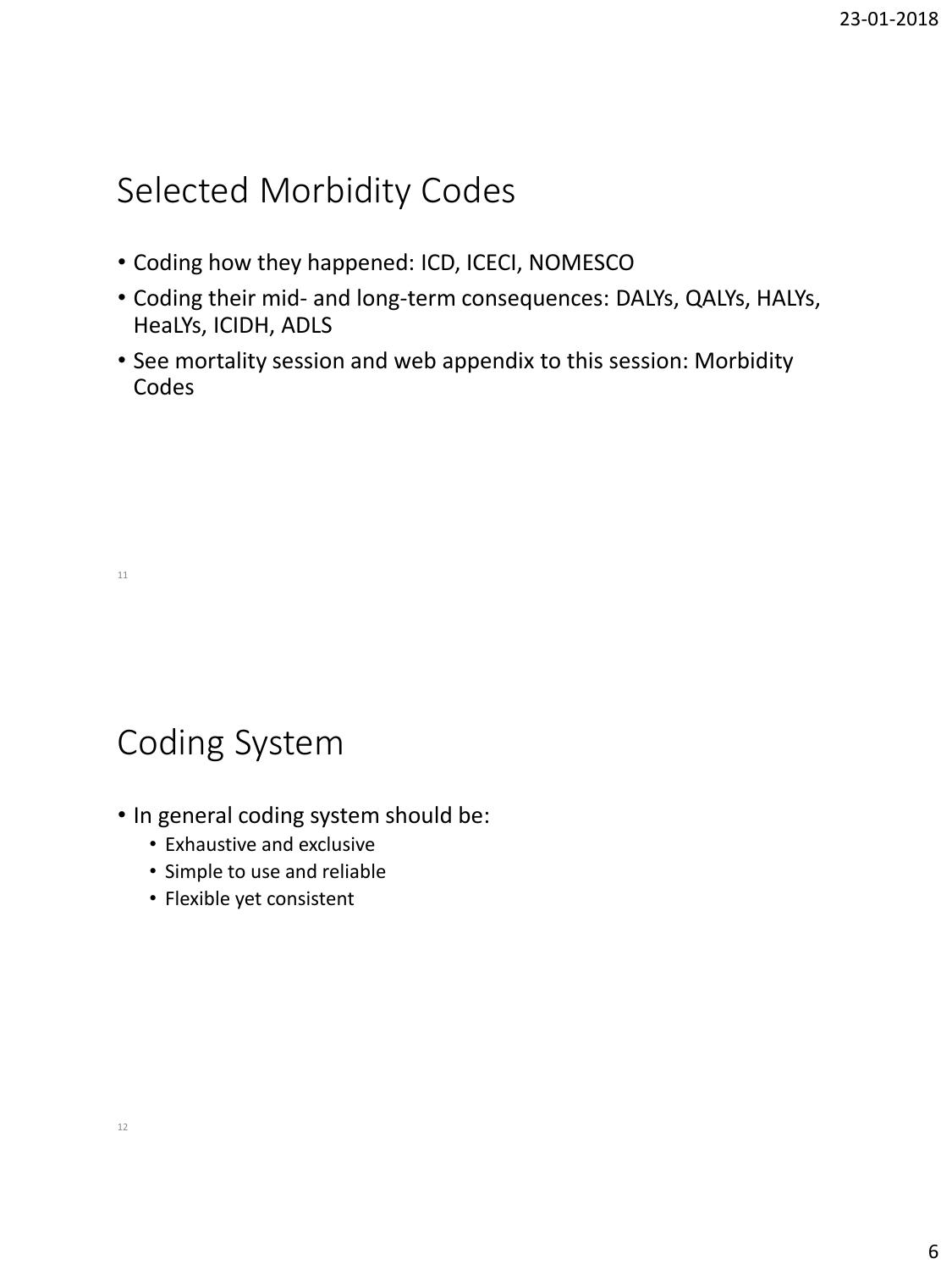### Selected Morbidity Codes

- Coding how they happened: ICD, ICECI, NOMESCO
- Coding their mid- and long-term consequences: DALYs, QALYs, HALYs, HeaLYs, ICIDH, ADLS
- See mortality session and web appendix to this session: Morbidity Codes

# Coding System

- In general coding system should be:
	- Exhaustive and exclusive
	- Simple to use and reliable
	- Flexible yet consistent

11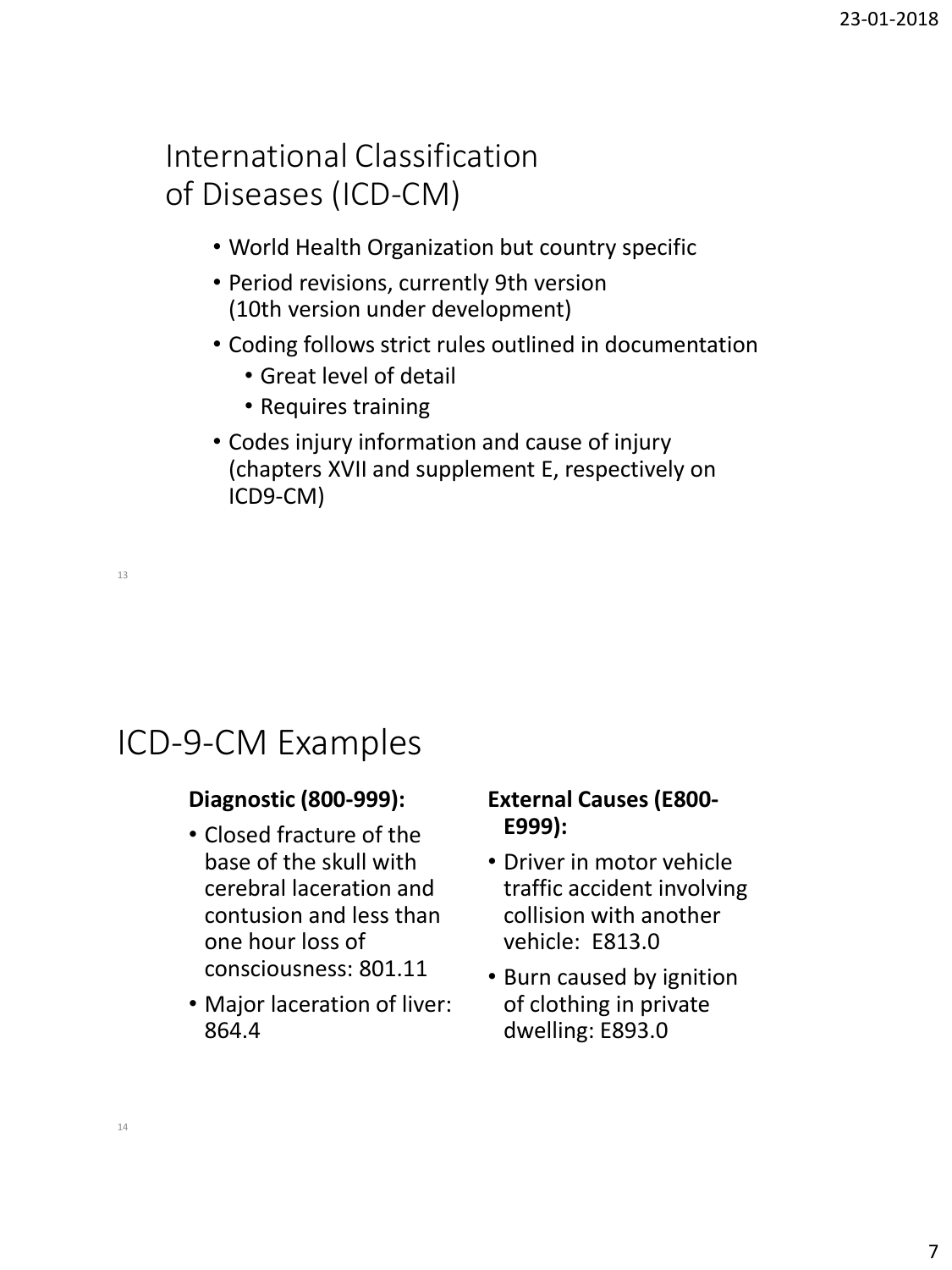#### International Classification of Diseases (ICD-CM)

- World Health Organization but country specific
- Period revisions, currently 9th version (10th version under development)
- Coding follows strict rules outlined in documentation
	- Great level of detail
	- Requires training
- Codes injury information and cause of injury (chapters XVII and supplement E, respectively on ICD9-CM)

13

#### ICD-9-CM Examples

#### **Diagnostic (800-999):**

- Closed fracture of the base of the skull with cerebral laceration and contusion and less than one hour loss of consciousness: 801.11
- Major laceration of liver: 864.4

#### **External Causes (E800- E999):**

- Driver in motor vehicle traffic accident involving collision with another vehicle: E813.0
- Burn caused by ignition of clothing in private dwelling: E893.0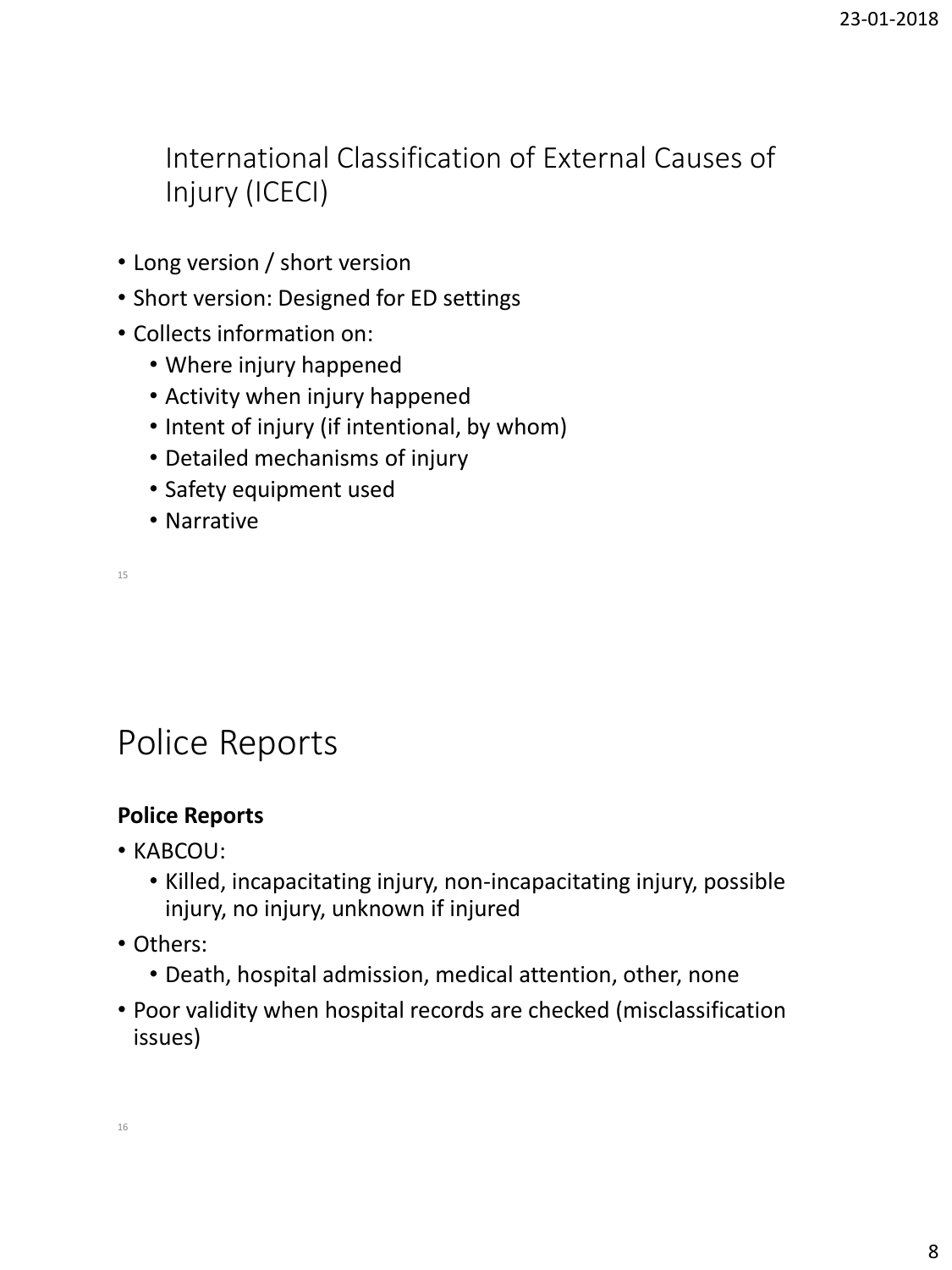International Classification of External Causes of Injury (ICECI)

- Long version / short version
- Short version: Designed for ED settings
- Collects information on:
	- Where injury happened
	- Activity when injury happened
	- Intent of injury (if intentional, by whom)
	- Detailed mechanisms of injury
	- Safety equipment used
	- Narrative

15

### Police Reports

#### **Police Reports**

- KABCOU:
	- Killed, incapacitating injury, non-incapacitating injury, possible injury, no injury, unknown if injured
- Others:
	- Death, hospital admission, medical attention, other, none
- Poor validity when hospital records are checked (misclassification issues)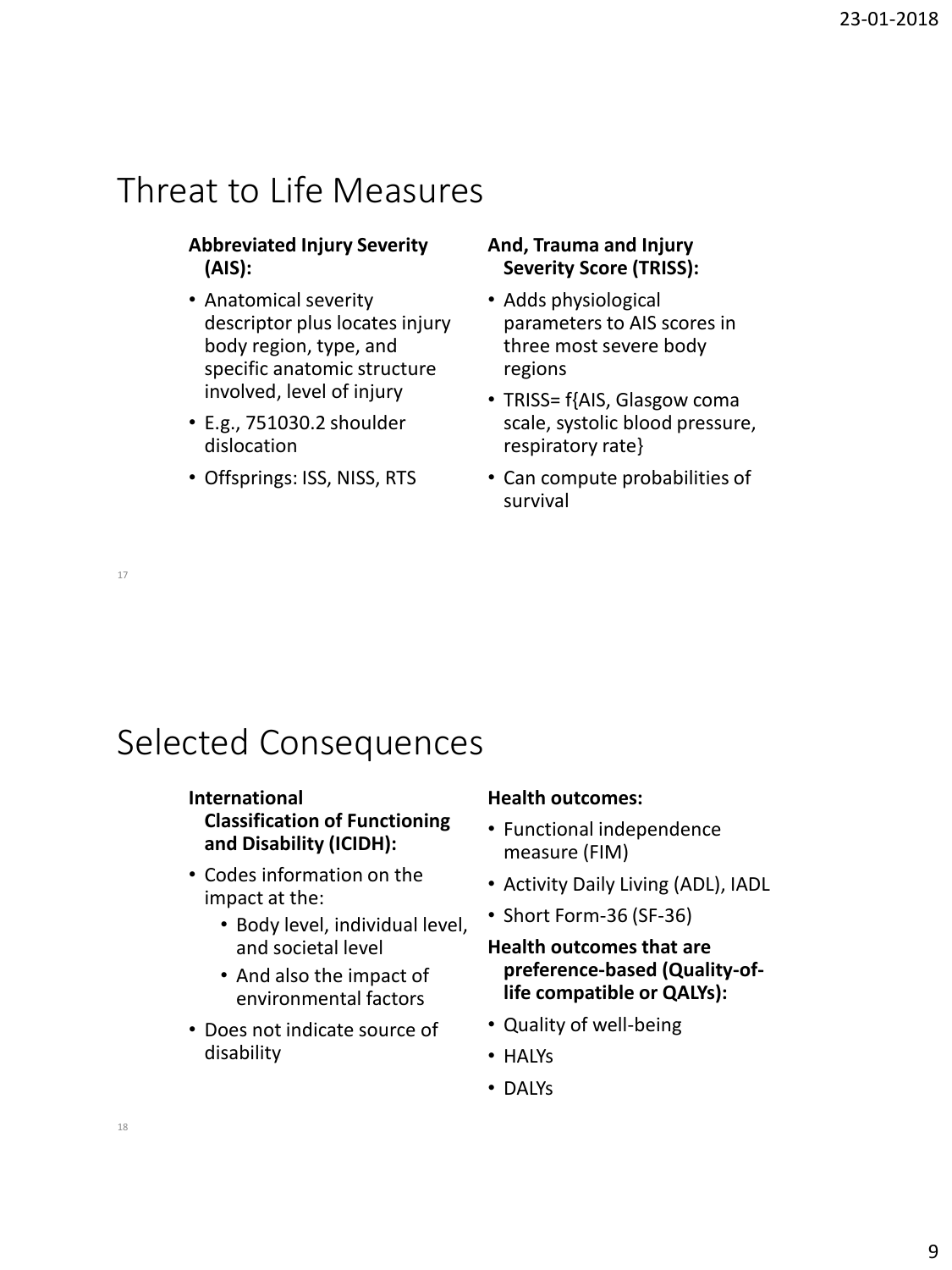### Threat to Life Measures

#### **Abbreviated Injury Severity (AIS):**

- Anatomical severity descriptor plus locates injury body region, type, and specific anatomic structure involved, level of injury
- E.g., 751030.2 shoulder dislocation
- Offsprings: ISS, NISS, RTS

#### **And, Trauma and Injury Severity Score (TRISS):**

- Adds physiological parameters to AIS scores in three most severe body regions
- TRISS= f{AIS, Glasgow coma scale, systolic blood pressure, respiratory rate}
- Can compute probabilities of survival

17

## Selected Consequences

#### **International Classification of Functioning and Disability (ICIDH):**

- Codes information on the impact at the:
	- Body level, individual level, and societal level
	- And also the impact of environmental factors
- Does not indicate source of disability

#### **Health outcomes:**

- Functional independence measure (FIM)
- Activity Daily Living (ADL), IADL
- Short Form-36 (SF-36)

#### **Health outcomes that are preference-based (Quality-oflife compatible or QALYs):**

- Quality of well-being
- HALYs
- DALYs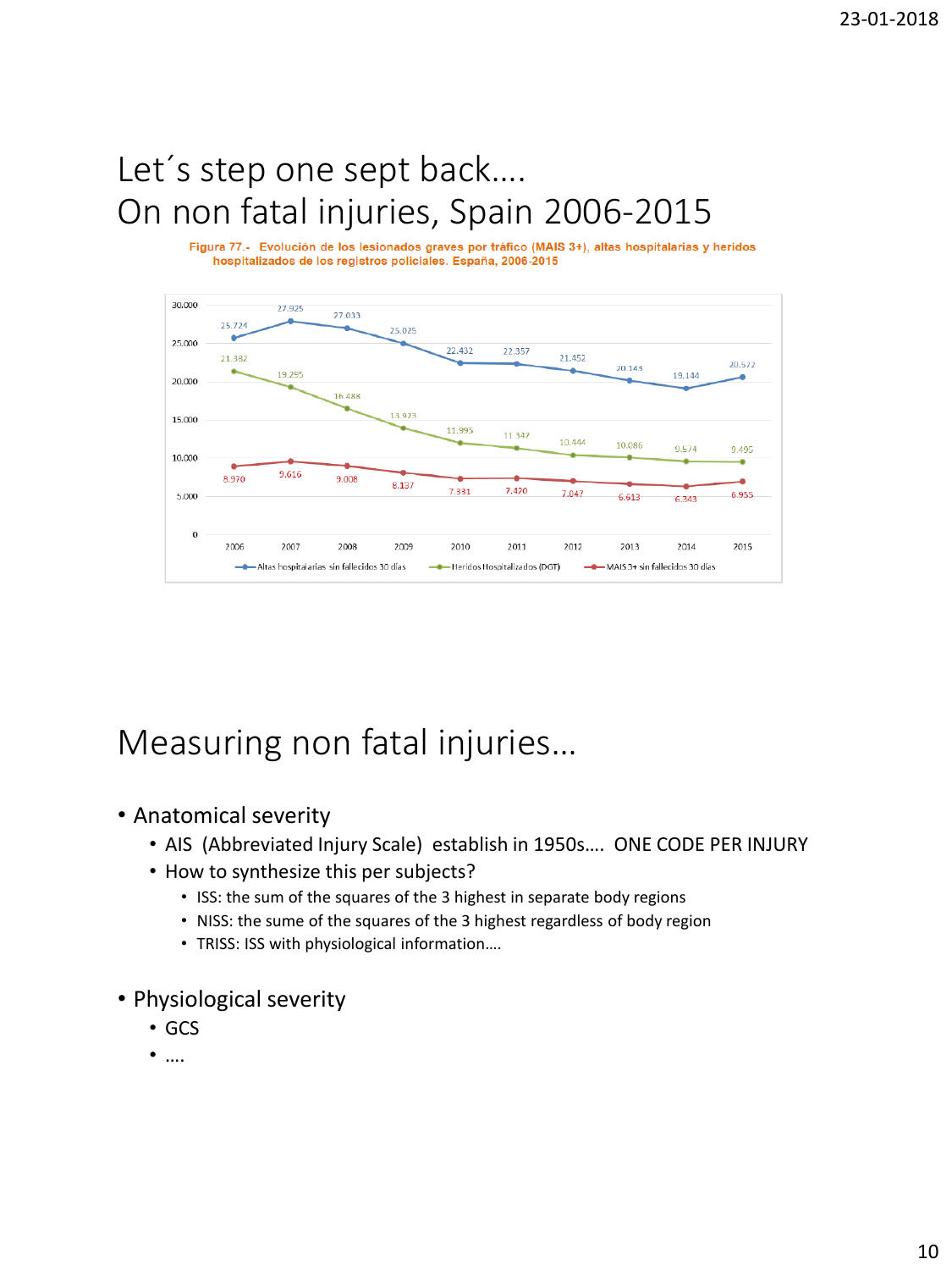# Let´s step one sept back…. On non fatal injuries, Spain 2006-2015

Figura 77.- Evolución de los lesionados graves por tráfico (MAIS 3+), altas hospitalarias y heridos hospitalizados de los registros policiales. España, 2006-2015



# Measuring non fatal injuries…

#### • Anatomical severity

- AIS (Abbreviated Injury Scale) establish in 1950s…. ONE CODE PER INJURY
- How to synthesize this per subjects?
	- ISS: the sum of the squares of the 3 highest in separate body regions
	- NISS: the sume of the squares of the 3 highest regardless of body region
	- TRISS: ISS with physiological information….
- Physiological severity
	- GCS
	- ….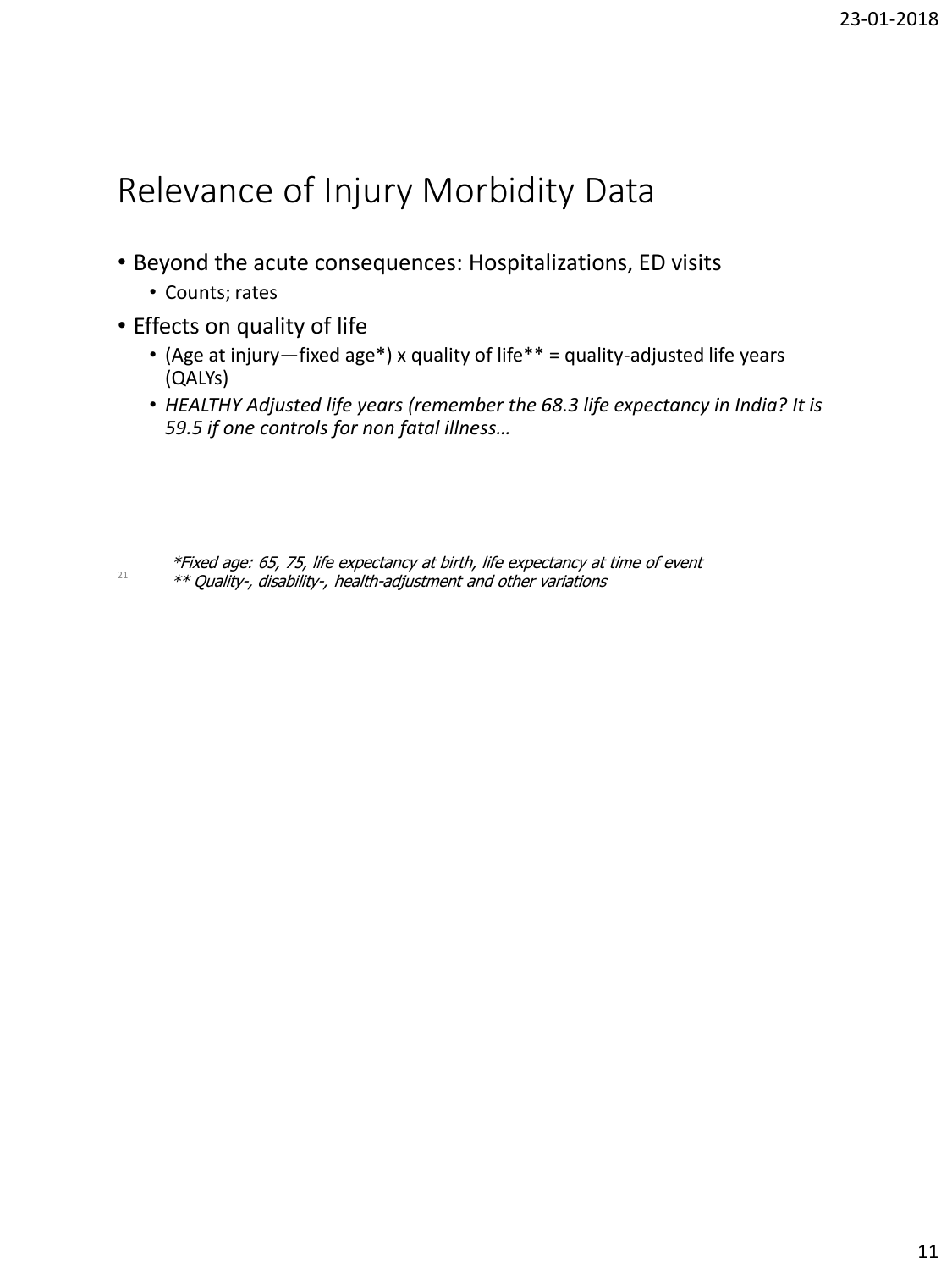### Relevance of Injury Morbidity Data

- Beyond the acute consequences: Hospitalizations, ED visits
	- Counts; rates
- Effects on quality of life
	- (Age at injury—fixed age\*) x quality of life\*\* = quality-adjusted life years (QALYs)
	- *HEALTHY Adjusted life years (remember the 68.3 life expectancy in India? It is 59.5 if one controls for non fatal illness…*

21 \*Fixed age: 65, 75, life expectancy at birth, life expectancy at time of event \*\* Quality-, disability-, health-adjustment and other variations